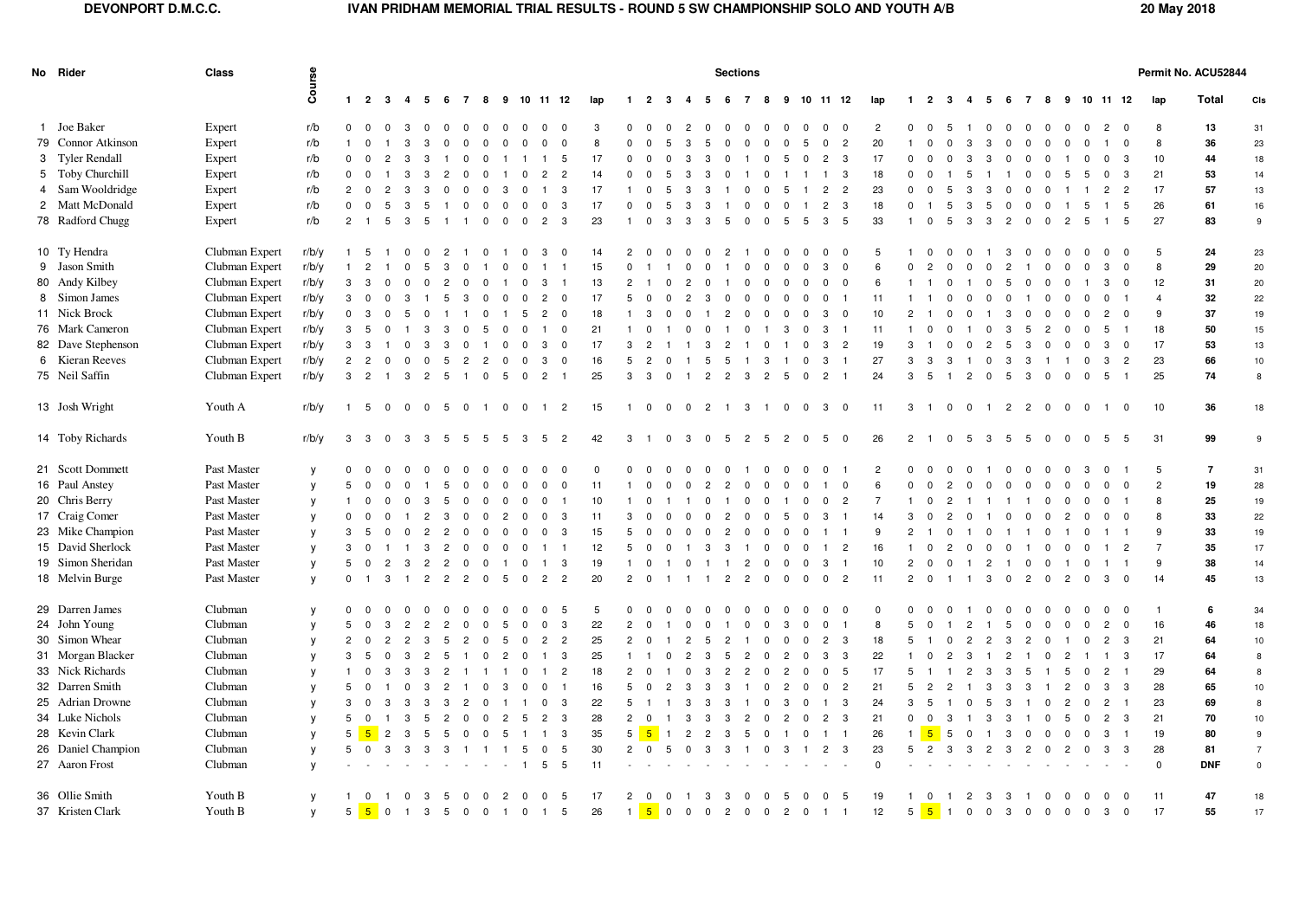## **DEVONPORT D.M.C.C. IVAN PRIDHAM MEMORIAL TRIAL RESULTS - ROUND 5 SW CHAMPIONSHIP SOLO AND YOUTH A/B 20 May 2018**

|  | No Rider           | <b>Class</b>   |              | <b>Sections</b> |                         |                         |                         |                                  |                         |                |                         |                                |                                           |          |                 |                |                         |                        |                |                |                      |                                        |              |                |                         | Permit No. ACU52844 |                |                            |                                |                                  |                |                         |                |                         |                |                |                         |                |                |                |
|--|--------------------|----------------|--------------|-----------------|-------------------------|-------------------------|-------------------------|----------------------------------|-------------------------|----------------|-------------------------|--------------------------------|-------------------------------------------|----------|-----------------|----------------|-------------------------|------------------------|----------------|----------------|----------------------|----------------------------------------|--------------|----------------|-------------------------|---------------------|----------------|----------------------------|--------------------------------|----------------------------------|----------------|-------------------------|----------------|-------------------------|----------------|----------------|-------------------------|----------------|----------------|----------------|
|  |                    |                | Course       |                 | $1 \quad 2$             | $\mathbf{3}$            | $\overline{\mathbf{4}}$ | 5<br>6                           | $\overline{7}$          | 8              |                         | 9 10 11 12                     |                                           | lap      | $\mathbf{1}$    | -2             | -3                      | -4                     | - 5            | -6             | 7                    | 9<br>8                                 |              |                | 10 11 12                | lap                 | $\mathbf{1}$   | 2                          | -3                             | -5<br>4                          | - 6            | 7                       | 8              |                         |                | 9 10 11 12     |                         | lap            | <b>Total</b>   | CIs            |
|  | 1 Joe Baker        | Expert         | r/b          | $^{\circ}$      | $\overline{0}$          | $\overline{\mathbf{0}}$ | -3                      | - 0<br>$\Omega$                  | $\Omega$                | $\Omega$       | - 0                     | - 0                            | $^{\circ}$<br>- 0                         | 3        |                 |                |                         |                        |                |                | $\Omega$<br>- 0      | $^{\circ}$                             | $\Omega$     | $\mathbf 0$    | $^{\circ}$              | $\overline{2}$      | $^{\circ}$     | $\Omega$                   | -5                             | $\mathbf 0$                      | $\mathbf 0$    | $\mathbf 0$             | $\Omega$       | - 0                     | $\Omega$       | $\overline{2}$ | $\Omega$                | 8              | 13             | 31             |
|  | 79 Connor Atkinson | Expert         | r/b          | $\overline{1}$  |                         |                         |                         | з                                |                         | $\Omega$       | $\Omega$                |                                | $\mathbf 0$<br>$\Omega$                   | 8        | $\Omega$        |                |                         |                        |                |                |                      | $\Omega$<br>$\Omega$                   |              | $\mathbf 0$    | $\overline{2}$          | 20                  |                |                            |                                | з                                |                | $\Omega$                | $\Omega$       | $\Omega$                |                |                | $\Omega$                | 8              | 36             | 23             |
|  | 3 Tyler Rendall    | Expert         | r/b          | $\mathbf 0$     | $\mathbf 0$             | 2                       | 3                       | -3                               | $^{\circ}$              | $\Omega$       |                         |                                | $\mathbf{1}$<br>-5                        | 17       |                 |                |                         |                        | з              |                |                      | $\Omega$<br>-5                         | $^{\circ}$   | $\overline{2}$ | 3                       | 17                  | $\Omega$       |                            | $^{\circ}$                     | 3<br>-3                          | $^{\circ}$     | $\mathbf 0$             | $^{\circ}$     | - 1                     | $^{\circ}$     | $\mathbf{0}$   | -3                      | 10             | 44             | 18             |
|  | 5 Toby Churchill   | Expert         | r/b          | $\mathbf 0$     | $\mathbf 0$             |                         | -3                      | $\overline{2}$<br>-3             | - 0                     | $\Omega$       |                         | $\Omega$                       | $\overline{2}$<br>$\overline{2}$          | 14       | $\Omega$        |                | -5                      | 3                      | з              |                |                      | $\Omega$                               |              | $\mathbf{1}$   | -3                      | 18                  | $\Omega$       |                            |                                | -5                               |                | - 0                     | $\Omega$       | -5                      | -5             | $^{\circ}$     | -3                      | 21             | 53             | 14             |
|  | 4 Sam Wooldridge   | Expert         | r/b          | $\overline{2}$  | $\overline{0}$          | $\overline{2}$          | 3                       | 3<br>$\overline{0}$              | 0                       | $\mathbf 0$    | 3                       | $\overline{0}$                 | $\overline{1}$<br>3                       | 17       |                 | $\Omega$       | 5                       | -3                     | -3             |                | - 0                  | $\mathbf 0$<br>-5                      |              | $\overline{2}$ | $\overline{2}$          | 23                  | $\mathbf 0$    | $\Omega$                   | 5<br>-3                        | -3                               | $^{\circ}$     | $\mathbf 0$             | $\mathbf 0$    |                         |                | $\overline{2}$ | $\overline{c}$          | 17             | 57             | 13             |
|  | 2 Matt McDonald    | Expert         | r/b          | $\mathbf{0}$    | $\mathbf 0$             | 5                       | -3                      | -5                               | $\Omega$                | $\Omega$       | $\overline{0}$          | $\mathbf 0$                    | $\mathbf{0}$<br>- 3                       | 17       | $\Omega$        |                | 5                       | -3                     | 3              |                | $\Omega$             | $\Omega$<br>$^{\circ}$                 |              | $\overline{2}$ | 3                       | 18                  | $\mathbf 0$    |                            | -5                             | -3<br>-5                         | $^{\circ}$     | $^{\circ}$              | $\Omega$       |                         | -5             | $\mathbf{1}$   | 5                       | 26             | 61             | 16             |
|  | 78 Radford Chugg   | Expert         | r/b          | $\overline{2}$  | $\blacksquare$          | 5                       | $\mathbf{3}$            | 5<br>$\overline{1}$              |                         | $\mathbf{0}$   | $\overline{0}$          | $\mathbf{0}$<br>$\overline{2}$ | - 3                                       | 23       |                 | $\Omega$       | 3                       | $\mathcal{R}$          | -3             | -5             | $\Omega$             | $\Omega$<br>- 5                        | -5           | $\mathbf{3}$   | 5                       | 33                  |                | $\Omega$                   | 5                              | -3<br>-3                         | $\overline{2}$ | $\mathbf{0}$            | $\mathbf{0}$   | $\overline{2}$          | - 5            | $\overline{1}$ | $5\overline{)}$         | 27             | 83             | 9              |
|  | 10 Ty Hendra       | Clubman Expert | r/b/y        |                 | $1\quad 5\quad 1$       |                         | $\overline{\mathbf{0}}$ | $\overline{c}$<br>$\overline{0}$ | $\blacksquare$          | $\mathbf 0$    | - 1                     | $\Omega$<br>-3                 | $\overline{\mathbf{0}}$                   | 14       | $\overline{2}$  | - 0            | $\Omega$                | - 0                    | $\Omega$       | $\overline{2}$ | -1                   | $\overline{0}$<br>$\mathbf 0$          | $\Omega$     | $\mathbf 0$    | $\overline{\mathbf{0}}$ | 5                   |                | $\mathbf 0$                | $\overline{\mathbf{0}}$<br>- 0 |                                  | -3             | $\mathbf 0$             | $\mathbf 0$    | - 0                     | $\Omega$       | $\mathbf 0$    | - 0                     | 5              | 24             | 23             |
|  | 9 Jason Smith      | Clubman Expert | r/b/y        | $\mathbf{1}$    | $\overline{2}$          |                         | $\Omega$                | 5<br>3                           | $\Omega$                |                | $\Omega$                | - 0                            |                                           | 15       | $\Omega$        |                |                         |                        |                |                |                      | $\Omega$<br>$\Omega$                   | $\Omega$     | 3              | $\Omega$                | 6                   | $\Omega$       | $\mathcal{P}$              |                                | റ<br>$\Omega$                    | $\overline{2}$ |                         | $\Omega$       | $\Omega$                | - 0            | 3              | $\Omega$                | 8              | 29             | 20             |
|  | 80 Andy Kilbey     | Clubman Expert | r/b/y        | $\mathbf{3}$    | - 3                     | $\mathbf 0$             | $\Omega$                | $\overline{2}$<br>$\mathbf 0$    | $\Omega$                | $^{\circ}$     |                         | - 0                            | 3<br>-1                                   | 13       | $\overline{2}$  |                | $\Omega$                | $\overline{2}$         | $\Omega$       |                | n                    | $\overline{0}$<br>$\Omega$             | - 0          | $\mathbf{0}$   | $\overline{0}$          | 6                   |                |                            | $^{\circ}$                     | $\mathbf 0$                      | -5             | $\mathbf 0$             | $^{\circ}$     | $\overline{\mathbf{0}}$ |                | 3              | $\overline{\mathbf{0}}$ | 12             | 31             | 20             |
|  | 8 Simon James      | Clubman Expert | r/b/y        | $\mathbf{3}$    | $\mathbf 0$             | $\mathbf 0$             | 3                       | 5                                | -3                      | $\Omega$       | $\mathbf 0$             | - 0                            | $\overline{2}$<br>$\mathbf 0$             | 17       | 5               |                | $\Omega$                | 2                      | -3             | - 0            | 0                    | - 0<br>0                               | $\Omega$     | $^{\circ}$     | - 1                     | 11                  |                |                            | $\Omega$                       | - 0<br>$\Omega$                  | $\Omega$       |                         | $\Omega$       | $\mathbf 0$             | 0              | 0              |                         | $\overline{4}$ | 32             | 22             |
|  | 11 Nick Brock      | Clubman Expert | r/b/y        | $\overline{0}$  | $\overline{\mathbf{3}}$ | $\mathbf 0$             | -5                      | $\mathbf 0$                      |                         | 0              |                         | $\overline{2}$<br>-5           | $\overline{\mathbf{0}}$                   | 18       |                 | 3              | 0                       | $\mathbf 0$            |                | $\overline{c}$ | 0                    | $\overline{0}$<br>$\mathbf 0$          | $\mathbf 0$  | $\mathbf{3}$   | $\overline{\mathbf{0}}$ | 10                  | $\overline{2}$ |                            | $\mathbf 0$                    | $\mathbf 0$                      | 3              | $\mathbf 0$             | $\mathbf 0$    | $\overline{0}$          | $\mathbf 0$    | $\overline{c}$ | $\overline{\mathbf{0}}$ | 9              | 37             | 19             |
|  | 76 Mark Cameron    | Clubman Expert | r/b/y        | $\mathbf{3}$    | - 5                     | $\mathbf 0$             |                         | -3<br>3                          | $\Omega$                | 5              | $^{\circ}$              | $^{\circ}$<br>-1               | $\overline{0}$                            | 21       |                 | $\Omega$       |                         | $\Omega$               | റ              |                | $\Omega$             | -3                                     | $\Omega$     | -3             | - 1                     | 11                  |                |                            | $\Omega$                       | $\Omega$                         | 3              | -5                      | $\overline{2}$ | $\overline{0}$          | $\Omega$       | 5              | - 1                     | 18             | 50             | 15             |
|  | 82 Dave Stephenson | Clubman Expert | r/b/v        | 3               | 3                       |                         | $\mathbf 0$             | 3<br>3                           | $^{\circ}$              | -1             | $^{\circ}$              | $\mathbf 0$                    | 3<br>$\overline{\mathbf{0}}$              | 17       | 3               | $\overline{2}$ |                         |                        | -3             | $\overline{2}$ |                      | $\Omega$                               | $^{\circ}$   | $\mathbf{3}$   | $\overline{2}$          | 19                  | 3              |                            | $^{\circ}$                     | $\overline{2}$<br>$^{\circ}$     | 5              | -3                      | $^{\circ}$     | $\overline{0}$          | $\mathbf 0$    | 3              | $\overline{\mathbf{0}}$ | 17             | 53             | 13             |
|  | 6 Kieran Reeves    | Clubman Expert | r/b/y        | $\overline{2}$  | $\overline{2}$          | $\overline{\mathbf{0}}$ | $\mathbf 0$             | 5<br>$\mathbf 0$                 | $\overline{2}$          | $\overline{2}$ | $\overline{\mathbf{0}}$ | - 0                            | 3<br>$\overline{\mathbf{0}}$              | 16       | 5               | $\overline{2}$ |                         |                        | .5             | -5             |                      | 3                                      | $^{\circ}$   | 3              | - 1                     | 27                  | 3              | -3                         | 3                              | $\Omega$                         | 3              | 3                       |                |                         | $\Omega$       | 3              | $\overline{2}$          | 23             | 66             | 10             |
|  | 75 Neil Saffin     | Clubman Expert | r/b/y        | $\mathbf{3}$    | $2 \quad 1$             |                         | 3                       | $\overline{2}$<br>5              | $\overline{1}$          | $\mathbf 0$    | $5\overline{5}$         | $\mathbf 0$                    | $\overline{2}$<br>$\overline{1}$          | 25       | 3               | 3              | $\mathbf 0$             | $\overline{1}$         | $\overline{2}$ | $\overline{c}$ | $\mathbf{3}$         | $\overline{c}$<br>5                    | $\mathbf 0$  | $\overline{c}$ | $\overline{1}$          | 24                  | 3              | 5                          | $\overline{1}$                 | $\overline{c}$<br>$\mathbf 0$    | 5              | 3                       | $\overline{0}$ | $\mathbf 0$             | $\mathbf 0$    | 5              | $\overline{1}$          | 25             | 74             | 8              |
|  | 13 Josh Wright     | Youth A        | r/b/v        |                 | $1\quad 5$              | $\overline{0}$          | $\overline{\mathbf{0}}$ | 5<br>$\overline{0}$              | $\overline{\mathbf{0}}$ | $\overline{1}$ | $\overline{0}$          | $\mathbf 0$                    | $\overline{2}$<br>$\mathbf{1}$            | 15       | $\overline{1}$  | $\mathbf{0}$   | $\overline{0}$          | $\overline{0}$         | $\overline{2}$ | $\overline{1}$ | -3<br>$\overline{1}$ | $\mathbf 0$                            | $\mathbf{0}$ | $\mathbf{3}$   | $\overline{\mathbf{0}}$ | 11                  | $\mathbf{3}$   | $\overline{1}$             | $\overline{0}$                 | $\overline{0}$<br>$\overline{1}$ | $\overline{2}$ | $\overline{2}$          | $\overline{0}$ | $\mathbf 0$             | $\overline{0}$ | $\overline{1}$ | $\overline{\mathbf{0}}$ | 10             | 36             | 18             |
|  | 14 Toby Richards   | Youth B        | r/b/y        | $\mathbf{3}$    | $\mathbf{3}$            | $\overline{0}$          | $\mathbf{3}$            | $\mathbf{3}$<br>5                | 5                       | 5              | 5                       | -3                             | 5<br>$\overline{2}$                       | 42       | 3               | $\overline{1}$ | $\Omega$                | $\mathbf{3}$           | $\Omega$       | -5             | $\overline{2}$       | 5<br>$\overline{2}$                    | $\Omega$     | 5              | $\Omega$                | 26                  | $\overline{2}$ | $\overline{1}$             | $\Omega$                       | 5<br>$\mathbf{3}$                | 5              | 5                       | $\mathbf 0$    | $\mathbf 0$             |                | 0 <sub>5</sub> | $-5$                    | 31             | 99             | 9              |
|  | 21 Scott Dommett   | Past Master    | y            | 0               | $\mathbf 0$             | $^{\circ}$              | $\mathbf 0$             | $\mathbf 0$<br>$^{\circ}$        | $^{\circ}$              | $^{\circ}$     | $^{\circ}$              | $\Omega$                       | $^{\circ}$<br>- 0                         | $\Omega$ | $\Omega$        | $^{\circ}$     | $^{\circ}$              | $\mathbf 0$            | $\mathbf 0$    | $^{\circ}$     |                      | $^{\circ}$<br>$\overline{0}$           | - 0          | $^{\circ}$     |                         | $\overline{2}$      | $^{\circ}$     | $\mathbf 0$                | $^{\circ}$                     | $\Omega$                         | $^{\circ}$     | $^{\circ}$              | $\Omega$       | $\overline{0}$          | -3             | $^{\circ}$     |                         | 5              | $\overline{7}$ | 31             |
|  | 16 Paul Anstey     | Past Master    | y            | 5               |                         |                         |                         | 5                                | - 0                     |                |                         |                                | $\mathbf 0$<br>$\mathbf 0$                | 11       |                 |                |                         |                        |                | $\overline{2}$ |                      |                                        |              |                |                         |                     | $\Omega$       |                            |                                |                                  | $\Omega$       | - 0                     |                |                         |                | $\mathbf 0$    | - 0                     | $\overline{c}$ | 19             | 28             |
|  | 20 Chris Berry     | Past Master    | y            | $\overline{1}$  | 0                       |                         | $\Omega$                | 5<br>-3                          | $\Omega$                | $\Omega$       | $\Omega$                | $\Omega$                       | $\mathbf 0$<br>- 1                        | 10       |                 |                |                         |                        |                |                |                      | $\Omega$                               |              | $\mathbf 0$    | $\overline{2}$          | $\overline{7}$      |                | $\Omega$                   | $\overline{2}$                 |                                  |                |                         | $\Omega$       | $\Omega$                | $\Omega$       | $\mathbf 0$    |                         | 8              | 25             | 19             |
|  | 17 Craig Comer     | Past Master    | у            | 0               | $\mathbf 0$             | $^{\circ}$              |                         | 3<br>$\overline{c}$              | $\mathbf 0$             | $\Omega$       | $\overline{2}$          | $\Omega$                       | $^{\circ}$<br>- 3                         | 11       | 3               |                |                         |                        |                | $\overline{2}$ | - 0                  | $\Omega$<br>-5                         | - 0          | 3              |                         | 14                  | 3              | $\mathbf 0$                | $\overline{2}$                 | $\Omega$                         | $^{\circ}$     | $\mathbf 0$             | $^{\circ}$     | $\overline{2}$          |                | $\mathbf 0$    | $\overline{\mathbf{0}}$ | 8              | 33             | 22             |
|  | 23 Mike Champion   | Past Master    | y            | 3               | - 5                     |                         | $\Omega$                | $\overline{2}$<br>$\overline{2}$ | $\Omega$                | $\Omega$       | $\Omega$                | $\Omega$                       | - 3<br>$^{\circ}$                         | 15       | -5              | $\mathbf 0$    |                         | $\Omega$               |                | $\overline{2}$ | - 0                  | $\Omega$<br>$\Omega$                   | $\Omega$     |                |                         | 9                   | $\overline{2}$ |                            | $^{\circ}$                     | $\Omega$                         |                |                         | $\Omega$       |                         | - 0            |                | - 1                     | 9              | 33             | 19             |
|  | 15 David Sherlock  | Past Master    | y            | 3               | $\mathbf 0$             |                         |                         | $\overline{c}$<br>3              | $\mathbf{0}$            | $^{\circ}$     | $\overline{0}$          | $\overline{0}$                 | $\mathbf{1}$<br>- 1                       | 12       | 5               | $\mathbf 0$    |                         |                        | -3             | -3             |                      | $\mathbf 0$<br>$\overline{0}$          | $\Omega$     | $\overline{1}$ | $\overline{2}$          | 16                  |                | $\mathbf{0}$               | $\overline{2}$                 | $\Omega$<br>$\mathbf{0}$         | $^{\circ}$     | - 1                     | $^{\circ}$     | $\overline{0}$          | - 0            | $\mathbf{1}$   | $\overline{c}$          | $\overline{7}$ | 35             | 17             |
|  | 19 Simon Sheridan  | Past Master    | y            | 5               | $\mathbf 0$             | $\overline{2}$          | -3                      | $\overline{c}$<br>$\overline{c}$ | $\Omega$                | $\Omega$       |                         | $\Omega$                       | 3                                         | 19       |                 | $^{\circ}$     |                         | $\Omega$               |                |                | $\overline{2}$       | $\Omega$<br>$\Omega$                   | $^{\circ}$   | 3              | $\overline{1}$          | 10                  | $\overline{2}$ | $\mathbf{0}$               | $^{\circ}$                     | $\overline{c}$                   |                | $^{\circ}$              | $\Omega$       |                         | $\Omega$       |                |                         | 9              | 38             | 14             |
|  | 18 Melvin Burge    | Past Master    | y            | 0               | $\blacksquare$          | 3                       |                         | $\overline{2}$<br>$\overline{2}$ | $\overline{2}$          | $\mathbf 0$    | 5                       | $\mathbf 0$                    | $\overline{2}$<br>$\overline{\mathbf{2}}$ | 20       | $\overline{2}$  | $\overline{0}$ |                         |                        |                | $\overline{2}$ | $\overline{2}$       | $\mathbf 0$<br>$\overline{\mathbf{0}}$ | $\mathbf 0$  | $\mathbf 0$    | $\overline{2}$          | 11                  | $\overline{2}$ | $\overline{0}$             | $\overline{1}$                 | -3                               | $\mathbf 0$    | $\overline{2}$          | $\mathbf 0$    | $\overline{2}$          | $\mathbf 0$    | 3              | $\overline{\mathbf{0}}$ | 14             | 45             | 13             |
|  | 29 Darren James    | Clubman        | $\mathsf{v}$ | 0               | $\Omega$                | $\Omega$                | $\Omega$                | $\Omega$<br>$\Omega$             | $\mathbf 0$             | 0              | 0                       | $\Omega$                       | $\mathbf 0$<br>- 5                        | 5        | $\Omega$        | $\Omega$       | $\Omega$                | $\Omega$               | - 0            | $\Omega$       | $\Omega$<br>0        | 0                                      | $\Omega$     | $\mathbf 0$    | 0                       | $\Omega$            | $\Omega$       | $\Omega$                   | 0<br>- 1                       | 0                                | 0              | $\overline{\mathbf{0}}$ | 0              | $\overline{\mathbf{0}}$ | - 0            | 0              | 0                       | $\overline{1}$ | 6              | 34             |
|  | 24 John Young      | Clubman        | y            | 5               | $\Omega$                | 3                       | $\mathcal{P}$           | $\overline{2}$<br>$\overline{2}$ | $\Omega$                | $^{\circ}$     | - 5                     | $\Omega$                       | $\overline{3}$<br>$\mathbf 0$             | 22       | $\overline{2}$  | $\Omega$       |                         | $\Omega$               | - 0            |                | $\Omega$             | 3<br>$\Omega$                          | $\Omega$     | $\mathbf 0$    | - 1                     | 8                   | 5              | $\Omega$                   |                                | $\overline{2}$                   | 5              | $\mathbf 0$             | $^{\circ}$     | $^{\circ}$              | $\mathbf 0$    | $\overline{c}$ | $\overline{0}$          | 16             | 46             | 18             |
|  | 30 Simon Whear     | Clubman        | V            | $\overline{2}$  | $\mathbf 0$             | $\overline{2}$          |                         | -5<br>-3                         | $\overline{2}$          | $^{\circ}$     | - 5                     | $\mathbf 0$                    | $\overline{2}$<br>$\overline{2}$          | 25       | $\overline{2}$  |                |                         | 2                      | -5             | $\overline{2}$ |                      | $\Omega$<br>$^{\circ}$                 | $\mathbf 0$  | $\overline{2}$ | 3                       | 18                  | 5              |                            |                                | $\mathcal{P}$<br>$\overline{2}$  | -3             | 2                       | $\Omega$       |                         | $\mathbf 0$    | $\overline{2}$ | 3                       | 21             | 64             | 10             |
|  | 31 Morgan Blacker  | Clubman        | V            | 3               | -5                      |                         |                         | 2<br>-5                          |                         | $\Omega$       | $\overline{2}$          | - 0                            | 3                                         | 25       |                 |                |                         |                        |                | .5             |                      | $\overline{2}$<br>$\Omega$             | - 0          | 3              | $\mathbf{3}$            | 22                  |                |                            | 2                              | 3                                | $\overline{2}$ |                         | $\Omega$       | $\overline{2}$          |                | -1             | 3                       | 17             | 64             | 8              |
|  | 33 Nick Richards   | Clubman        | y            |                 |                         |                         |                         | $\overline{c}$<br>-3             |                         |                |                         | - 0                            | $\overline{2}$                            | 18       | $\overline{2}$  |                |                         |                        | -3             | $\overline{2}$ | 2                    | $\overline{2}$<br>0                    | 0            | $\mathbf 0$    | 5                       | 17                  | 5              |                            |                                | $\mathcal{P}$<br>-3              | 3              | 5                       |                | -5                      | $\Omega$       | $\overline{2}$ | - 1                     | 29             | 64             | 8              |
|  | 32 Darren Smith    | Clubman        | y            | 5               | - 0                     |                         |                         | $\overline{2}$<br>-3             |                         | $\Omega$       | -3                      | $\Omega$                       | $^{\circ}$<br>$\overline{1}$              | 16       | 5               | - 0            |                         | 3                      | 3              | -3             |                      | $\overline{c}$<br>$\Omega$             | - 0          | 0              | $\overline{2}$          | 21                  | 5              | $\overline{2}$             | $\overline{2}$                 | -3                               | 3              | -3                      |                | $\overline{2}$          | - 0            | 3              | $\mathbf{3}$            | 28             | 65             | 10             |
|  | 25 Adrian Drowne   | Clubman        | y            | 3               | - 0                     |                         |                         | 3<br>-3                          | $\overline{2}$          | $\Omega$       |                         |                                | - 3<br>$\mathbf 0$                        | 22       | 5               |                |                         |                        |                | 3              |                      | -3<br>$\Omega$                         | $\mathbf 0$  | $\mathbf{1}$   | 3                       | 24                  | 3              | - 5                        |                                | -5                               | -3             |                         | $\Omega$       | $\overline{c}$          | $\mathbf 0$    | $\overline{2}$ | $\overline{1}$          | 23             | 69             | 8              |
|  | 34 Luke Nichols    | Clubman        | y            | 5               | - 0                     |                         |                         | $\overline{2}$<br>-5             | - 0                     | $\Omega$       | $\overline{2}$          | -5                             | $\overline{2}$<br>-3                      | 28       | $\overline{c}$  | $\mathbf 0$    |                         | 3                      | 3              | 3              |                      | $\overline{2}$<br>$\Omega$             | $\Omega$     | $\overline{2}$ | $\mathbf{3}$            | 21                  | $\mathbf 0$    | $\overline{0}$             | 3                              | -3                               | 3              |                         | $\mathbf 0$    | 5                       | - 0            | $\overline{2}$ | $\mathbf{3}$            | 21             | 70             | 10             |
|  | 28 Kevin Clark     | Clubman        | y            | 5               | 5                       | $\overline{c}$          | $\mathcal{R}$           | -5<br>-5                         |                         | $\Omega$       | -5                      |                                | $\mathbf{3}$<br>$\mathbf{1}$              | 35       | $5\overline{5}$ | 5 <sup>1</sup> |                         | $\overline{2}$         | $\overline{2}$ | 3              | $\Omega$             |                                        | $\mathbf 0$  |                | $1 \quad 1$             | 26                  | $\mathbf{1}$   | -5                         | 5                              | $\mathbf 0$                      | 3              | $\Omega$                | $\Omega$       | $\mathbf 0$             | $\mathbf 0$    | 3              | - 1                     | 19             | 80             | 9              |
|  | 26 Daniel Champion | Clubman        | V            | 5               | $\Omega$                | 3                       | 3                       | -3<br>-3                         |                         |                |                         | $\Omega$                       | 5                                         | 30       | 2               | $\Omega$       |                         |                        | 3              | -3             |                      | $\Omega$<br>3                          |              | $\overline{2}$ | -3                      | 23                  | 5              | $\overline{2}$             | $\mathcal{B}$                  | 3<br>2                           | $\mathcal{B}$  | $\mathcal{P}$           | $\Omega$       | $\overline{2}$          | - 0            | 3              | 3                       | 28             | 81             | $\overline{7}$ |
|  | 27 Aaron Frost     | Clubman        | V            |                 |                         |                         |                         |                                  |                         |                |                         |                                | 5<br>- 5                                  | 11       |                 |                |                         |                        |                |                |                      |                                        |              |                |                         | $\Omega$            |                |                            |                                |                                  |                |                         |                |                         |                |                |                         | $\mathbf 0$    | <b>DNF</b>     | $\mathsf 0$    |
|  |                    |                |              |                 |                         |                         |                         |                                  |                         |                |                         |                                |                                           |          |                 |                |                         |                        |                |                |                      |                                        |              |                |                         |                     |                |                            |                                |                                  |                |                         |                |                         |                |                |                         |                |                |                |
|  | 36 Ollie Smith     | Youth B        | y            | $\mathbf{1}$    | $0 \quad 1$             |                         | $\overline{0}$          | -3<br>5                          | $\mathbf 0$             | $^{\circ}$     | $\overline{2}$          | $\Omega$                       | $\mathbf 0$<br>-5                         | 17       | $\overline{2}$  | $\overline{0}$ | $\overline{\mathbf{0}}$ | $\overline{1}$         | -3             | 3              | 0                    | 0<br>-5                                | $\mathbf 0$  | $\mathbf 0$    | - 5                     | 19                  | $\mathbf{1}$   | $\mathbf 0$                | $\overline{1}$                 | $\overline{2}$<br>-3             | -3             | $\mathbf{1}$            | $\mathbf 0$    | $\mathbf 0$             | - 0            | 0              | $\Omega$                | 11             | 47             | 18             |
|  | 37 Kristen Clark   | Youth B        | $\mathsf{v}$ |                 |                         |                         |                         | 5 <mark>5</mark> 0 1 3 5 0       |                         | $\overline{0}$ | $\overline{1}$          | $\mathbf{0}$                   | 5<br>$\overline{1}$                       | 26       |                 |                |                         | 1 <mark>5</mark> 0 0 0 |                | $2 \quad 0$    |                      | $\overline{2}$<br>$\overline{0}$       | $\mathbf{0}$ |                | $1 \quad 1$             | 12                  |                | 5 <mark>5</mark> 1 0 0 3 0 |                                |                                  |                |                         | $\overline{0}$ | $\overline{0}$          | $\mathbf 0$    | 3              | $^{\circ}$              | 17             | 55             | 17             |